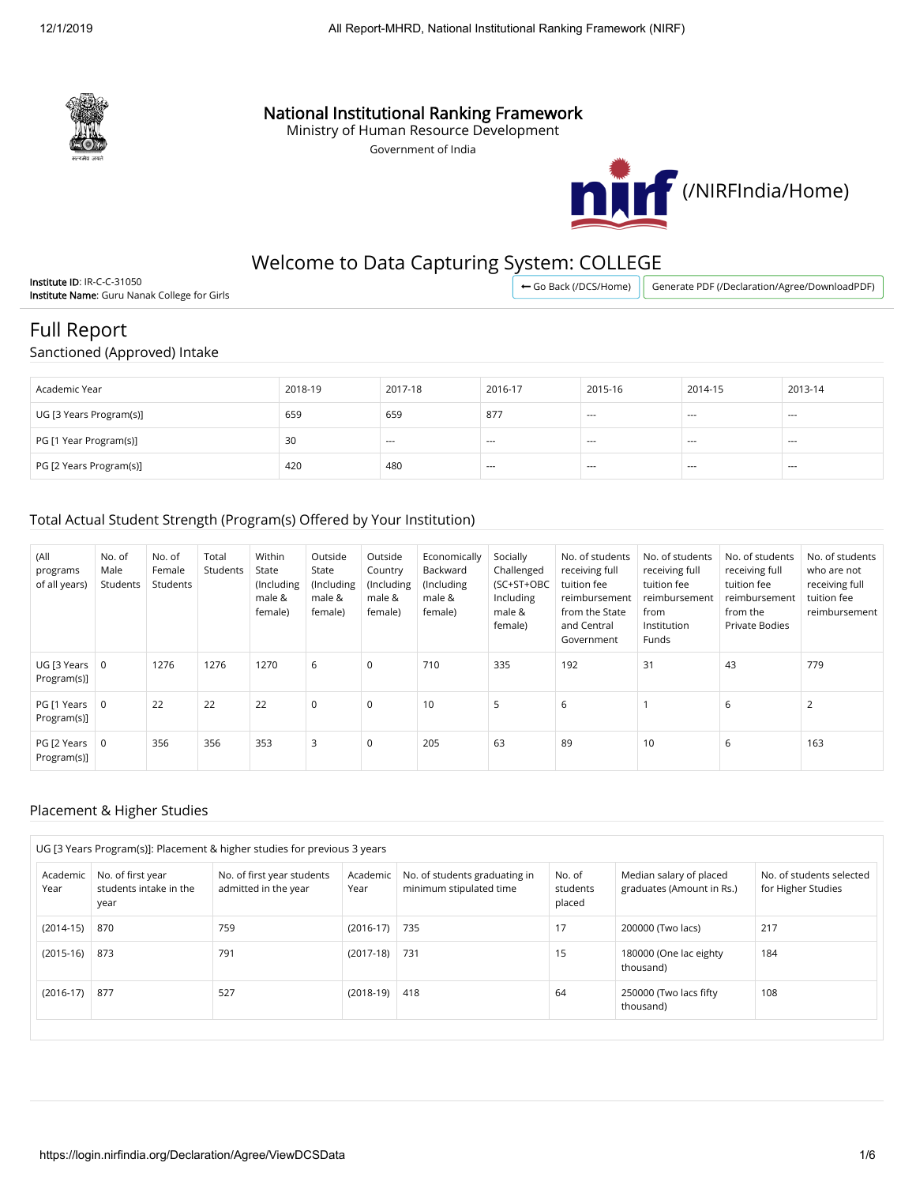

## National Institutional Ranking Framework

Ministry of Human Resource Development

Government of India



## Welcome to Data Capturing System: COLLEGE

Institute ID: IR-C-C-31050 Institute Name: Guru Nanak College for Girls

← [Go Back \(/DCS/Home\)](https://login.nirfindia.org/DCS/Home) | [Generate PDF \(/Declaration/Agree/DownloadPDF\)](https://login.nirfindia.org/Declaration/Agree/DownloadPDF)

# Full Report

Sanctioned (Approved) Intake

| Academic Year           | 2018-19 | 2017-18 | 2016-17  | 2015-16                                  | 2014-15 | 2013-14 |
|-------------------------|---------|---------|----------|------------------------------------------|---------|---------|
| UG [3 Years Program(s)] | 659     | 659     | 877      | $- - -$                                  | $- - -$ | $- - -$ |
| PG [1 Year Program(s)]  | 30      | $--$    | $\cdots$ | $\hspace{0.05cm} \ldots \hspace{0.05cm}$ | $--$    | $---$   |
| PG [2 Years Program(s)] | 420     | 480     | $\cdots$ | $\hspace{0.05cm} \ldots \hspace{0.05cm}$ | $--$    | $---$   |

## Total Actual Student Strength (Program(s) Offered by Your Institution)

| (All<br>programs<br>of all years) | No. of<br>Male<br>Students | No. of<br>Female<br>Students | Total<br>Students | Within<br>State<br>(Including<br>male &<br>female) | Outside<br>State<br>(Including<br>male &<br>female) | Outside<br>Country<br>(Including<br>male &<br>female) | Economically<br>Backward<br>(Including<br>male &<br>female) | Socially<br>Challenged<br>(SC+ST+OBC<br>Including<br>male &<br>female) | No. of students<br>receiving full<br>tuition fee<br>reimbursement<br>from the State<br>and Central<br>Government | No. of students<br>receiving full<br>tuition fee<br>reimbursement<br>from<br>Institution<br>Funds | No. of students<br>receiving full<br>tuition fee<br>reimbursement<br>from the<br><b>Private Bodies</b> | No. of students<br>who are not<br>receiving full<br>tuition fee<br>reimbursement |
|-----------------------------------|----------------------------|------------------------------|-------------------|----------------------------------------------------|-----------------------------------------------------|-------------------------------------------------------|-------------------------------------------------------------|------------------------------------------------------------------------|------------------------------------------------------------------------------------------------------------------|---------------------------------------------------------------------------------------------------|--------------------------------------------------------------------------------------------------------|----------------------------------------------------------------------------------|
| UG [3 Years<br>Program(s)]        | 0                          | 1276                         | 1276              | 1270                                               | 6                                                   | 0                                                     | 710                                                         | 335                                                                    | 192                                                                                                              | 31                                                                                                | 43                                                                                                     | 779                                                                              |
| PG [1 Years<br>Program(s)]        | $\overline{0}$             | 22                           | 22                | 22                                                 | $\mathbf 0$                                         | 0                                                     | 10                                                          | 5                                                                      | 6                                                                                                                |                                                                                                   | 6                                                                                                      |                                                                                  |
| PG [2 Years<br>Program(s)]        | $\overline{0}$             | 356                          | 356               | 353                                                | 3                                                   | 0                                                     | 205                                                         | 63                                                                     | 89                                                                                                               | 10                                                                                                | 6                                                                                                      | 163                                                                              |

#### Placement & Higher Studies

| UG [3 Years Program(s)]: Placement & higher studies for previous 3 years |                                                     |                                                    |                  |                                                          |                                                                                      |                                     |                                                |  |  |  |  |
|--------------------------------------------------------------------------|-----------------------------------------------------|----------------------------------------------------|------------------|----------------------------------------------------------|--------------------------------------------------------------------------------------|-------------------------------------|------------------------------------------------|--|--|--|--|
| Academic<br>Year                                                         | No. of first year<br>students intake in the<br>year | No. of first year students<br>admitted in the year | Academic<br>Year | No. of students graduating in<br>minimum stipulated time | No. of<br>Median salary of placed<br>graduates (Amount in Rs.)<br>students<br>placed |                                     | No. of students selected<br>for Higher Studies |  |  |  |  |
| $(2014-15)$                                                              | 870                                                 | 759                                                | $(2016-17)$      | 735                                                      | 17                                                                                   | 200000 (Two lacs)                   | 217                                            |  |  |  |  |
| $(2015-16)$                                                              | 873                                                 | 791                                                | $(2017-18)$      | 731                                                      | 15                                                                                   | 180000 (One lac eighty<br>thousand) | 184                                            |  |  |  |  |
| $(2016-17)$                                                              | 877                                                 | 527                                                | $(2018-19)$      | 418                                                      | 64                                                                                   | 250000 (Two lacs fifty<br>thousand) | 108                                            |  |  |  |  |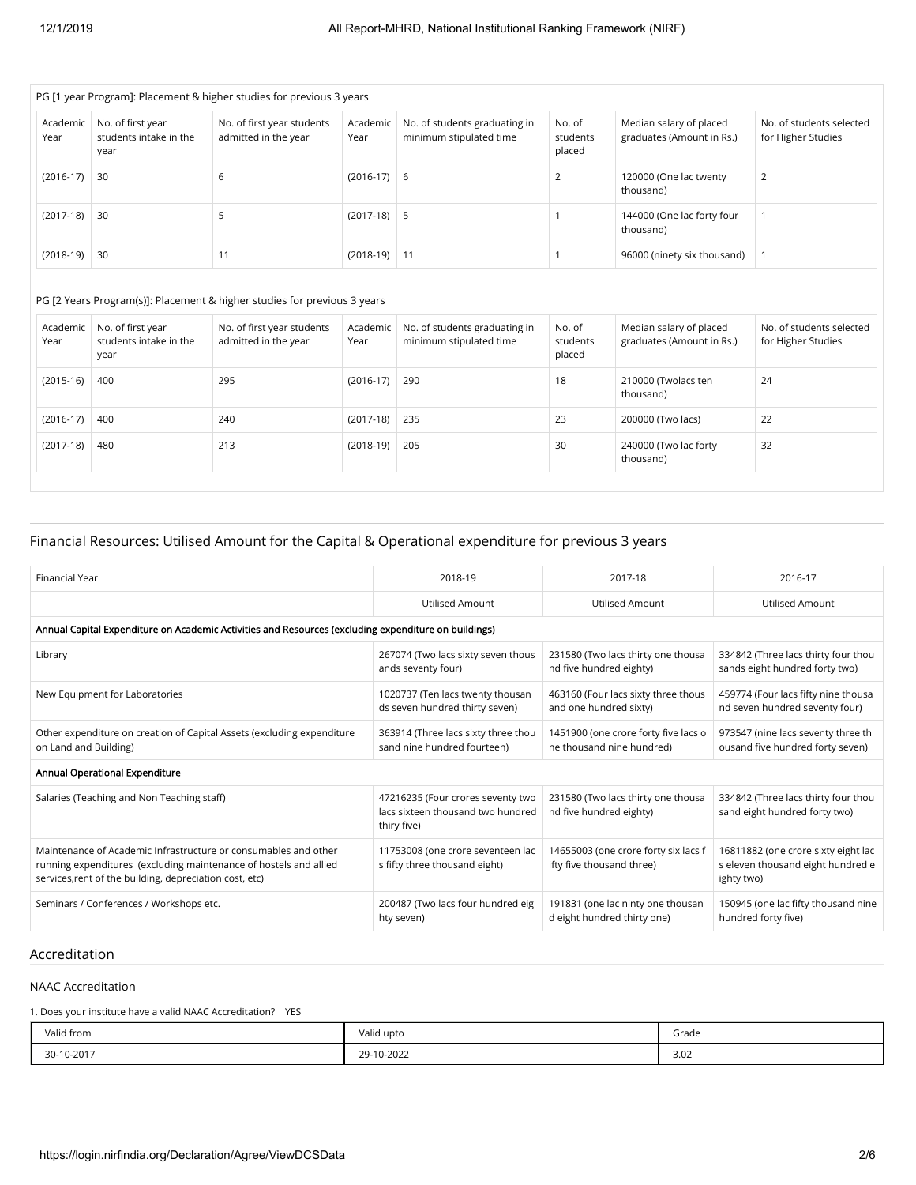|                  | PG [1 year Program]: Placement & higher studies for previous 3 years |                                                    |                  |                                                          |                              |                                                      |                                                |  |  |  |  |  |
|------------------|----------------------------------------------------------------------|----------------------------------------------------|------------------|----------------------------------------------------------|------------------------------|------------------------------------------------------|------------------------------------------------|--|--|--|--|--|
| Academic<br>Year | No. of first year<br>students intake in the<br>year                  | No. of first year students<br>admitted in the year | Academic<br>Year | No. of students graduating in<br>minimum stipulated time | No. of<br>students<br>placed | Median salary of placed<br>graduates (Amount in Rs.) | No. of students selected<br>for Higher Studies |  |  |  |  |  |
| $(2016-17)$      | 30                                                                   | 6                                                  | $(2016-17)$ 6    |                                                          |                              | 120000 (One lac twenty<br>thousand)                  | 2                                              |  |  |  |  |  |
| $(2017-18)$      | 30                                                                   |                                                    | $(2017-18)$ 5    |                                                          |                              | 144000 (One lac forty four<br>thousand)              |                                                |  |  |  |  |  |
| $(2018-19)$      | 30                                                                   |                                                    | $(2018-19)$ 11   |                                                          |                              | 96000 (ninety six thousand)                          |                                                |  |  |  |  |  |

#### PG [2 Years Program(s)]: Placement & higher studies for previous 3 years

| Academic<br>Year | No. of first year<br>students intake in the<br>year | No. of first year students<br>admitted in the year | Academic<br>Year | No. of students graduating in<br>minimum stipulated time | No. of<br>students<br>placed | Median salary of placed<br>graduates (Amount in Rs.) | No. of students selected<br>for Higher Studies |
|------------------|-----------------------------------------------------|----------------------------------------------------|------------------|----------------------------------------------------------|------------------------------|------------------------------------------------------|------------------------------------------------|
| $(2015-16)$      | 400                                                 | 295                                                | $(2016-17)$      | 290                                                      | 18                           | 210000 (Twolacs ten<br>thousand)                     | 24                                             |
| $(2016-17)$      | 400                                                 | 240                                                | $(2017-18)$      | 235                                                      | 23                           | 200000 (Two lacs)                                    | 22                                             |
| $(2017-18)$      | 480                                                 | 213                                                | $(2018-19)$      | 205                                                      | 30                           | 240000 (Two lac forty<br>thousand)                   | 32                                             |

## Financial Resources: Utilised Amount for the Capital & Operational expenditure for previous 3 years

| Financial Year                                                                                                                                                                                  | 2018-19                                                                               | 2017-18                                                           | 2016-17                                                                                |
|-------------------------------------------------------------------------------------------------------------------------------------------------------------------------------------------------|---------------------------------------------------------------------------------------|-------------------------------------------------------------------|----------------------------------------------------------------------------------------|
|                                                                                                                                                                                                 | <b>Utilised Amount</b>                                                                | <b>Utilised Amount</b>                                            | <b>Utilised Amount</b>                                                                 |
| Annual Capital Expenditure on Academic Activities and Resources (excluding expenditure on buildings)                                                                                            |                                                                                       |                                                                   |                                                                                        |
| Library                                                                                                                                                                                         | 267074 (Two lacs sixty seven thous<br>ands seventy four)                              | 231580 (Two lacs thirty one thousa<br>nd five hundred eighty)     | 334842 (Three lacs thirty four thou<br>sands eight hundred forty two)                  |
| New Equipment for Laboratories                                                                                                                                                                  | 1020737 (Ten lacs twenty thousan<br>ds seven hundred thirty seven)                    | 463160 (Four lacs sixty three thous<br>and one hundred sixty)     | 459774 (Four lacs fifty nine thousa<br>nd seven hundred seventy four)                  |
| Other expenditure on creation of Capital Assets (excluding expenditure<br>on Land and Building)                                                                                                 | 363914 (Three lacs sixty three thou<br>sand nine hundred fourteen)                    | 1451900 (one crore forty five lacs o<br>ne thousand nine hundred) | 973547 (nine lacs seventy three th<br>ousand five hundred forty seven)                 |
| Annual Operational Expenditure                                                                                                                                                                  |                                                                                       |                                                                   |                                                                                        |
| Salaries (Teaching and Non Teaching staff)                                                                                                                                                      | 47216235 (Four crores seventy two<br>lacs sixteen thousand two hundred<br>thiry five) | 231580 (Two lacs thirty one thousa<br>nd five hundred eighty)     | 334842 (Three lacs thirty four thou<br>sand eight hundred forty two)                   |
| Maintenance of Academic Infrastructure or consumables and other<br>running expenditures (excluding maintenance of hostels and allied<br>services, rent of the building, depreciation cost, etc) | 11753008 (one crore seventeen lac<br>s fifty three thousand eight)                    | 14655003 (one crore forty six lacs f<br>ifty five thousand three) | 16811882 (one crore sixty eight lac<br>s eleven thousand eight hundred e<br>ighty two) |
| Seminars / Conferences / Workshops etc.                                                                                                                                                         | 200487 (Two lacs four hundred eig<br>hty seven)                                       | 191831 (one lac ninty one thousan<br>d eight hundred thirty one)  | 150945 (one lac fifty thousand nine<br>hundred forty five)                             |

#### Accreditation

#### NAAC Accreditation

1. Does your institute have a valid NAAC Accreditation? YES

| Valid from | Valid upto | Grade |
|------------|------------|-------|
| 30-10-2017 | 29-10-2022 | 3.02  |
|            |            | .     |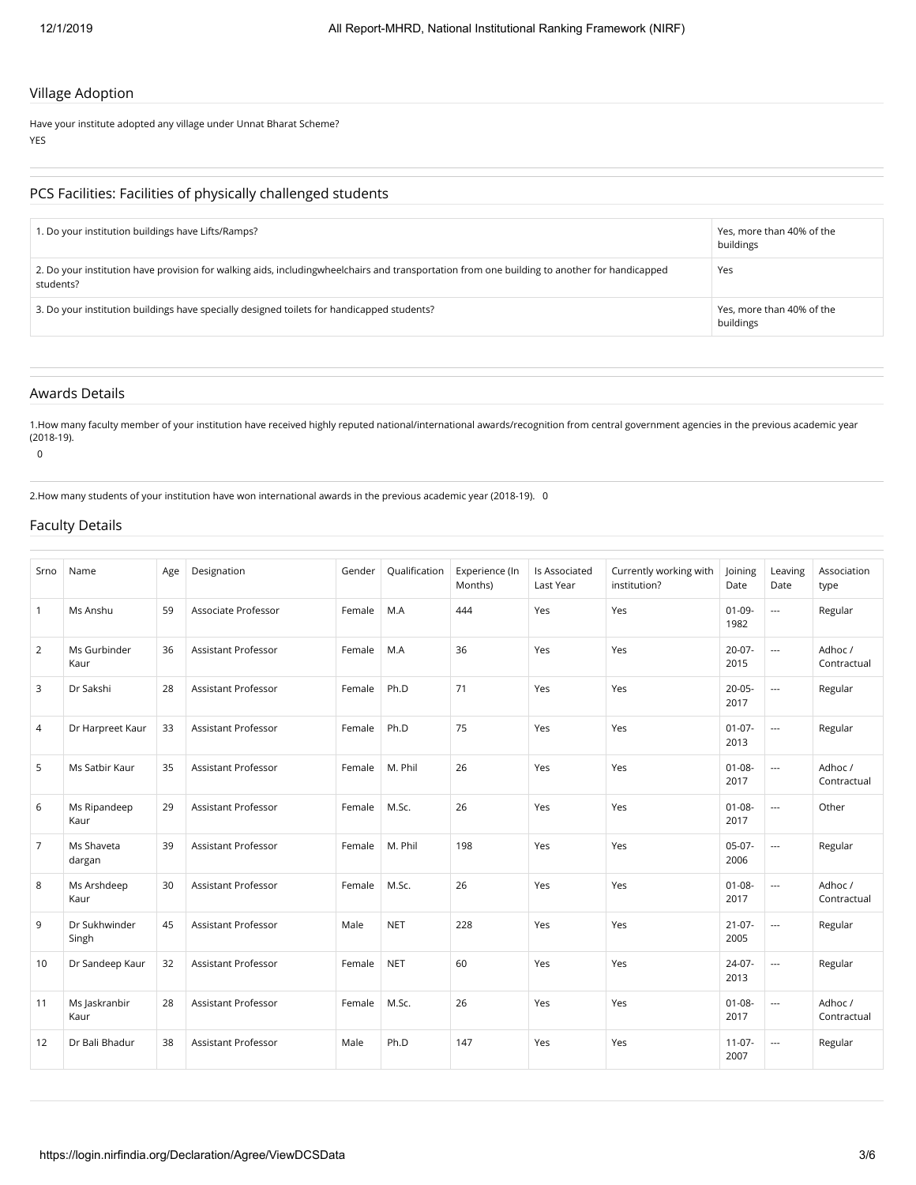#### Village Adoption

Have your institute adopted any village under Unnat Bharat Scheme? YES

#### PCS Facilities: Facilities of physically challenged students

| 1. Do your institution buildings have Lifts/Ramps?                                                                                                        | Yes, more than 40% of the<br>buildings |
|-----------------------------------------------------------------------------------------------------------------------------------------------------------|----------------------------------------|
| 2. Do your institution have provision for walking aids, includingwheelchairs and transportation from one building to another for handicapped<br>students? | Yes                                    |
| 3. Do your institution buildings have specially designed toilets for handicapped students?                                                                | Yes, more than 40% of the<br>buildings |

## Awards Details

1.How many faculty member of your institution have received highly reputed national/international awards/recognition from central government agencies in the previous academic year (2018-19).

0

2.How many students of your institution have won international awards in the previous academic year (2018-19). 0

#### Faculty Details

| Srno           | Name                   | Age | Designation                | Gender | Qualification | Experience (In<br>Months) | Is Associated<br>Last Year | Currently working with<br>institution? | Joining<br>Date     | Leaving<br>Date          | Association<br>type    |
|----------------|------------------------|-----|----------------------------|--------|---------------|---------------------------|----------------------------|----------------------------------------|---------------------|--------------------------|------------------------|
| $\mathbf{1}$   | Ms Anshu               | 59  | Associate Professor        | Female | M.A           | 444                       | Yes                        | Yes                                    | $01 - 09 -$<br>1982 | $\overline{\phantom{a}}$ | Regular                |
| 2              | Ms Gurbinder<br>Kaur   | 36  | Assistant Professor        | Female | M.A           | 36                        | Yes                        | Yes                                    | $20-07-$<br>2015    | $\overline{\phantom{a}}$ | Adhoc /<br>Contractual |
| 3              | Dr Sakshi              | 28  | <b>Assistant Professor</b> | Female | Ph.D          | 71                        | Yes                        | Yes                                    | $20 - 05 -$<br>2017 | $\overline{a}$           | Regular                |
| 4              | Dr Harpreet Kaur       | 33  | Assistant Professor        | Female | Ph.D          | 75                        | Yes                        | Yes                                    | $01-07-$<br>2013    | $\overline{\phantom{a}}$ | Regular                |
| 5              | Ms Satbir Kaur         | 35  | Assistant Professor        | Female | M. Phil       | 26                        | Yes                        | Yes                                    | $01 - 08 -$<br>2017 | $\overline{a}$           | Adhoc /<br>Contractual |
| 6              | Ms Ripandeep<br>Kaur   | 29  | <b>Assistant Professor</b> | Female | M.Sc.         | 26                        | Yes                        | Yes                                    | $01 - 08 -$<br>2017 | $\overline{\phantom{a}}$ | Other                  |
| $\overline{7}$ | Ms Shaveta<br>dargan   | 39  | <b>Assistant Professor</b> | Female | M. Phil       | 198                       | Yes                        | Yes                                    | $05-07-$<br>2006    | $\overline{\phantom{a}}$ | Regular                |
| 8              | Ms Arshdeep<br>Kaur    | 30  | <b>Assistant Professor</b> | Female | M.Sc.         | 26                        | Yes                        | Yes                                    | $01 - 08 -$<br>2017 | $\overline{a}$           | Adhoc /<br>Contractual |
| 9              | Dr Sukhwinder<br>Singh | 45  | <b>Assistant Professor</b> | Male   | <b>NET</b>    | 228                       | Yes                        | Yes                                    | $21 - 07 -$<br>2005 | $\overline{\phantom{a}}$ | Regular                |
| 10             | Dr Sandeep Kaur        | 32  | <b>Assistant Professor</b> | Female | <b>NET</b>    | 60                        | Yes                        | Yes                                    | 24-07-<br>2013      | $\overline{a}$           | Regular                |
| 11             | Ms Jaskranbir<br>Kaur  | 28  | Assistant Professor        | Female | M.Sc.         | 26                        | Yes                        | Yes                                    | $01 - 08 -$<br>2017 | $\overline{\phantom{a}}$ | Adhoc/<br>Contractual  |
| 12             | Dr Bali Bhadur         | 38  | <b>Assistant Professor</b> | Male   | Ph.D          | 147                       | Yes                        | Yes                                    | $11-07-$<br>2007    | $\overline{a}$           | Regular                |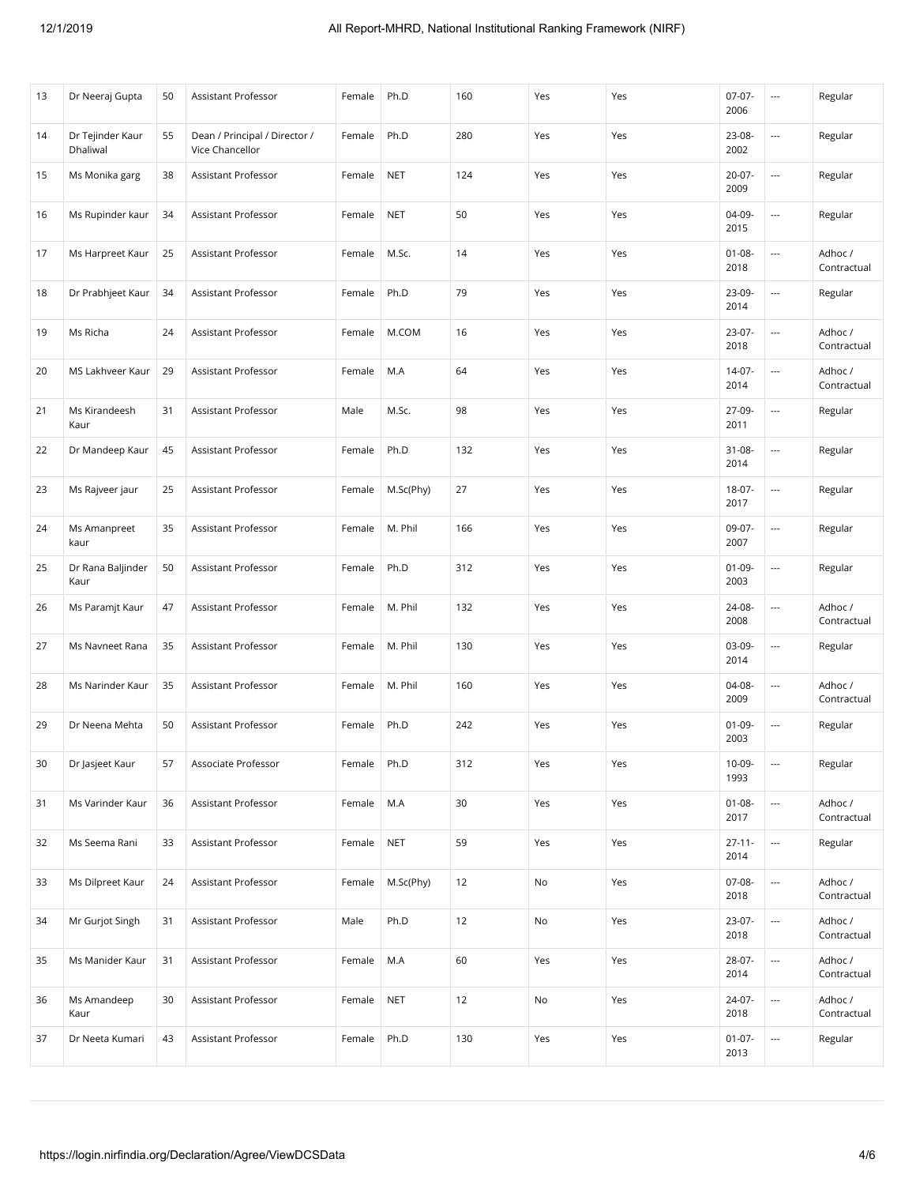| 13 | Dr Neeraj Gupta              | 50 | Assistant Professor                              | Female | Ph.D       | 160 | Yes | Yes | $07-07-$<br>2006    | $\overline{\phantom{a}}$ | Regular                |
|----|------------------------------|----|--------------------------------------------------|--------|------------|-----|-----|-----|---------------------|--------------------------|------------------------|
| 14 | Dr Tejinder Kaur<br>Dhaliwal | 55 | Dean / Principal / Director /<br>Vice Chancellor | Female | Ph.D       | 280 | Yes | Yes | 23-08-<br>2002      | ---                      | Regular                |
| 15 | Ms Monika garg               | 38 | <b>Assistant Professor</b>                       | Female | <b>NET</b> | 124 | Yes | Yes | $20 - 07 -$<br>2009 |                          | Regular                |
| 16 | Ms Rupinder kaur             | 34 | Assistant Professor                              | Female | <b>NET</b> | 50  | Yes | Yes | 04-09-<br>2015      | $\sim$                   | Regular                |
| 17 | Ms Harpreet Kaur             | 25 | Assistant Professor                              | Female | M.Sc.      | 14  | Yes | Yes | $01 - 08 -$<br>2018 | ---                      | Adhoc /<br>Contractual |
| 18 | Dr Prabhjeet Kaur            | 34 | Assistant Professor                              | Female | Ph.D       | 79  | Yes | Yes | 23-09-<br>2014      |                          | Regular                |
| 19 | Ms Richa                     | 24 | Assistant Professor                              | Female | M.COM      | 16  | Yes | Yes | $23-07-$<br>2018    | ---                      | Adhoc /<br>Contractual |
| 20 | MS Lakhveer Kaur             | 29 | Assistant Professor                              | Female | M.A        | 64  | Yes | Yes | 14-07-<br>2014      | ---                      | Adhoc /<br>Contractual |
| 21 | Ms Kirandeesh<br>Kaur        | 31 | <b>Assistant Professor</b>                       | Male   | M.Sc.      | 98  | Yes | Yes | 27-09-<br>2011      | $\cdots$                 | Regular                |
| 22 | Dr Mandeep Kaur              | 45 | Assistant Professor                              | Female | Ph.D       | 132 | Yes | Yes | 31-08-<br>2014      | ---                      | Regular                |
| 23 | Ms Rajveer jaur              | 25 | <b>Assistant Professor</b>                       | Female | M.Sc(Phy)  | 27  | Yes | Yes | 18-07-<br>2017      |                          | Regular                |
| 24 | Ms Amanpreet<br>kaur         | 35 | Assistant Professor                              | Female | M. Phil    | 166 | Yes | Yes | 09-07-<br>2007      | $\sim$                   | Regular                |
| 25 | Dr Rana Baljinder<br>Kaur    | 50 | Assistant Professor                              | Female | Ph.D       | 312 | Yes | Yes | $01-09-$<br>2003    | $\overline{\phantom{a}}$ | Regular                |
| 26 | Ms Paramjt Kaur              | 47 | Assistant Professor                              | Female | M. Phil    | 132 | Yes | Yes | 24-08-<br>2008      | ---                      | Adhoc /<br>Contractual |
| 27 | Ms Navneet Rana              | 35 | Assistant Professor                              | Female | M. Phil    | 130 | Yes | Yes | 03-09-<br>2014      |                          | Regular                |
| 28 | Ms Narinder Kaur             | 35 | Assistant Professor                              | Female | M. Phil    | 160 | Yes | Yes | 04-08-<br>2009      | ---                      | Adhoc /<br>Contractual |
| 29 | Dr Neena Mehta               | 50 | Assistant Professor                              | Female | Ph.D       | 242 | Yes | Yes | $01-09-$<br>2003    | $\overline{\phantom{a}}$ | Regular                |
| 30 | Dr Jasjeet Kaur              | 57 | Associate Professor                              | Female | Ph.D       | 312 | Yes | Yes | $10-09-$<br>1993    | ---                      | Regular                |
| 31 | Ms Varinder Kaur             | 36 | Assistant Professor                              | Female | M.A        | 30  | Yes | Yes | $01 - 08 -$<br>2017 | $\overline{\phantom{a}}$ | Adhoc /<br>Contractual |
| 32 | Ms Seema Rani                | 33 | Assistant Professor                              | Female | <b>NET</b> | 59  | Yes | Yes | $27 - 11 -$<br>2014 | $\overline{\phantom{a}}$ | Regular                |
| 33 | Ms Dilpreet Kaur             | 24 | Assistant Professor                              | Female | M.Sc(Phy)  | 12  | No  | Yes | 07-08-<br>2018      | $\overline{\phantom{a}}$ | Adhoc /<br>Contractual |
| 34 | Mr Gurjot Singh              | 31 | <b>Assistant Professor</b>                       | Male   | Ph.D       | 12  | No  | Yes | 23-07-<br>2018      | $\hspace{0.05cm} \ldots$ | Adhoc /<br>Contractual |
| 35 | Ms Manider Kaur              | 31 | Assistant Professor                              | Female | M.A        | 60  | Yes | Yes | 28-07-<br>2014      | $\overline{\phantom{a}}$ | Adhoc /<br>Contractual |
| 36 | Ms Amandeep<br>Kaur          | 30 | Assistant Professor                              | Female | <b>NET</b> | 12  | No  | Yes | 24-07-<br>2018      | $\overline{\phantom{a}}$ | Adhoc /<br>Contractual |
| 37 | Dr Neeta Kumari              | 43 | Assistant Professor                              | Female | Ph.D       | 130 | Yes | Yes | $01-07-$<br>2013    | $\hspace{0.05cm} \ldots$ | Regular                |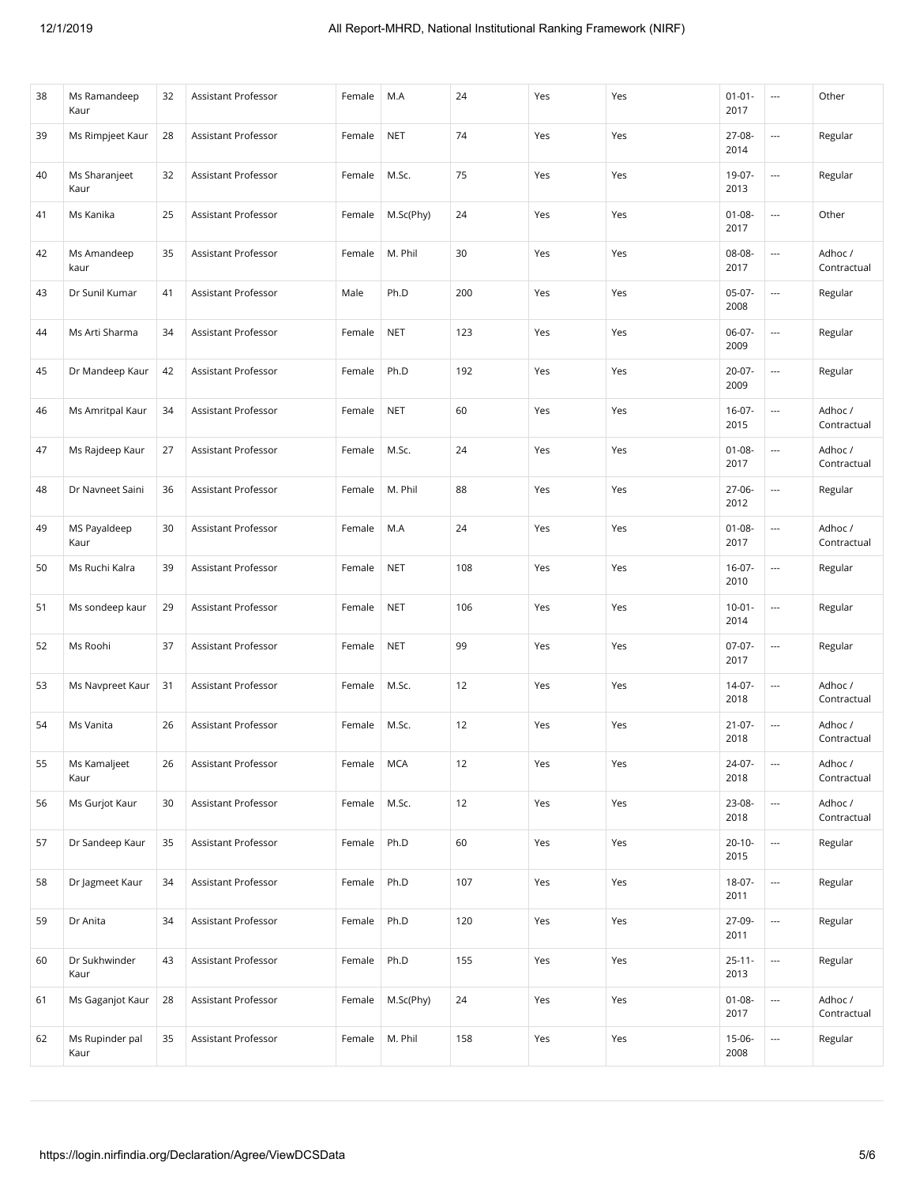| 38 | Ms Ramandeep<br>Kaur    | 32 | Assistant Professor        | Female | M.A        | 24  | Yes | Yes | $01 - 01 -$<br>2017 | ---                      | Other                  |
|----|-------------------------|----|----------------------------|--------|------------|-----|-----|-----|---------------------|--------------------------|------------------------|
| 39 | Ms Rimpjeet Kaur        | 28 | <b>Assistant Professor</b> | Female | <b>NET</b> | 74  | Yes | Yes | 27-08-<br>2014      | $\overline{\phantom{a}}$ | Regular                |
| 40 | Ms Sharanjeet<br>Kaur   | 32 | Assistant Professor        | Female | M.Sc.      | 75  | Yes | Yes | 19-07-<br>2013      |                          | Regular                |
| 41 | Ms Kanika               | 25 | Assistant Professor        | Female | M.Sc(Phy)  | 24  | Yes | Yes | $01 - 08 -$<br>2017 | $\sim$                   | Other                  |
| 42 | Ms Amandeep<br>kaur     | 35 | <b>Assistant Professor</b> | Female | M. Phil    | 30  | Yes | Yes | 08-08-<br>2017      | ---                      | Adhoc /<br>Contractual |
| 43 | Dr Sunil Kumar          | 41 | Assistant Professor        | Male   | Ph.D       | 200 | Yes | Yes | $05-07-$<br>2008    | $\hspace{0.05cm} \ldots$ | Regular                |
| 44 | Ms Arti Sharma          | 34 | Assistant Professor        | Female | <b>NET</b> | 123 | Yes | Yes | $06-07-$<br>2009    | ---                      | Regular                |
| 45 | Dr Mandeep Kaur         | 42 | Assistant Professor        | Female | Ph.D       | 192 | Yes | Yes | 20-07-<br>2009      | ---                      | Regular                |
| 46 | Ms Amritpal Kaur        | 34 | Assistant Professor        | Female | <b>NET</b> | 60  | Yes | Yes | $16-07-$<br>2015    | $\cdots$                 | Adhoc /<br>Contractual |
| 47 | Ms Rajdeep Kaur         | 27 | <b>Assistant Professor</b> | Female | M.Sc.      | 24  | Yes | Yes | $01 - 08 -$<br>2017 | $\overline{\phantom{a}}$ | Adhoc /<br>Contractual |
| 48 | Dr Navneet Saini        | 36 | <b>Assistant Professor</b> | Female | M. Phil    | 88  | Yes | Yes | 27-06-<br>2012      |                          | Regular                |
| 49 | MS Payaldeep<br>Kaur    | 30 | Assistant Professor        | Female | M.A        | 24  | Yes | Yes | $01 - 08 -$<br>2017 | $\overline{\phantom{a}}$ | Adhoc /<br>Contractual |
| 50 | Ms Ruchi Kalra          | 39 | Assistant Professor        | Female | <b>NET</b> | 108 | Yes | Yes | $16-07-$<br>2010    | $\overline{\phantom{a}}$ | Regular                |
| 51 | Ms sondeep kaur         | 29 | Assistant Professor        | Female | <b>NET</b> | 106 | Yes | Yes | $10-01 -$<br>2014   | $\overline{\phantom{a}}$ | Regular                |
| 52 | Ms Roohi                | 37 | Assistant Professor        | Female | <b>NET</b> | 99  | Yes | Yes | $07-07-$<br>2017    |                          | Regular                |
| 53 | Ms Navpreet Kaur        | 31 | Assistant Professor        | Female | M.Sc.      | 12  | Yes | Yes | 14-07-<br>2018      | ---                      | Adhoc /<br>Contractual |
| 54 | Ms Vanita               | 26 | Assistant Professor        | Female | M.Sc.      | 12  | Yes | Yes | $21 - 07 -$<br>2018 | ---                      | Adhoc /<br>Contractual |
| 55 | Ms Kamaljeet<br>Kaur    | 26 | Assistant Professor        | Female | <b>MCA</b> | 12  | Yes | Yes | 24-07-<br>2018      |                          | Adhoc /<br>Contractual |
| 56 | Ms Gurjot Kaur          | 30 | Assistant Professor        | Female | M.Sc.      | 12  | Yes | Yes | 23-08-<br>2018      | $\overline{\phantom{a}}$ | Adhoc/<br>Contractual  |
| 57 | Dr Sandeep Kaur         | 35 | <b>Assistant Professor</b> | Female | Ph.D       | 60  | Yes | Yes | $20 - 10 -$<br>2015 | $\overline{\phantom{a}}$ | Regular                |
| 58 | Dr Jagmeet Kaur         | 34 | Assistant Professor        | Female | Ph.D       | 107 | Yes | Yes | 18-07-<br>2011      | $\overline{\phantom{a}}$ | Regular                |
| 59 | Dr Anita                | 34 | Assistant Professor        | Female | Ph.D       | 120 | Yes | Yes | 27-09-<br>2011      | $\overline{\phantom{a}}$ | Regular                |
| 60 | Dr Sukhwinder<br>Kaur   | 43 | Assistant Professor        | Female | Ph.D       | 155 | Yes | Yes | $25 - 11 -$<br>2013 | $\overline{\phantom{a}}$ | Regular                |
| 61 | Ms Gaganjot Kaur        | 28 | Assistant Professor        | Female | M.Sc(Phy)  | 24  | Yes | Yes | $01 - 08 -$<br>2017 | $\overline{\phantom{a}}$ | Adhoc /<br>Contractual |
| 62 | Ms Rupinder pal<br>Kaur | 35 | Assistant Professor        | Female | M. Phil    | 158 | Yes | Yes | 15-06-<br>2008      | $\overline{\phantom{a}}$ | Regular                |